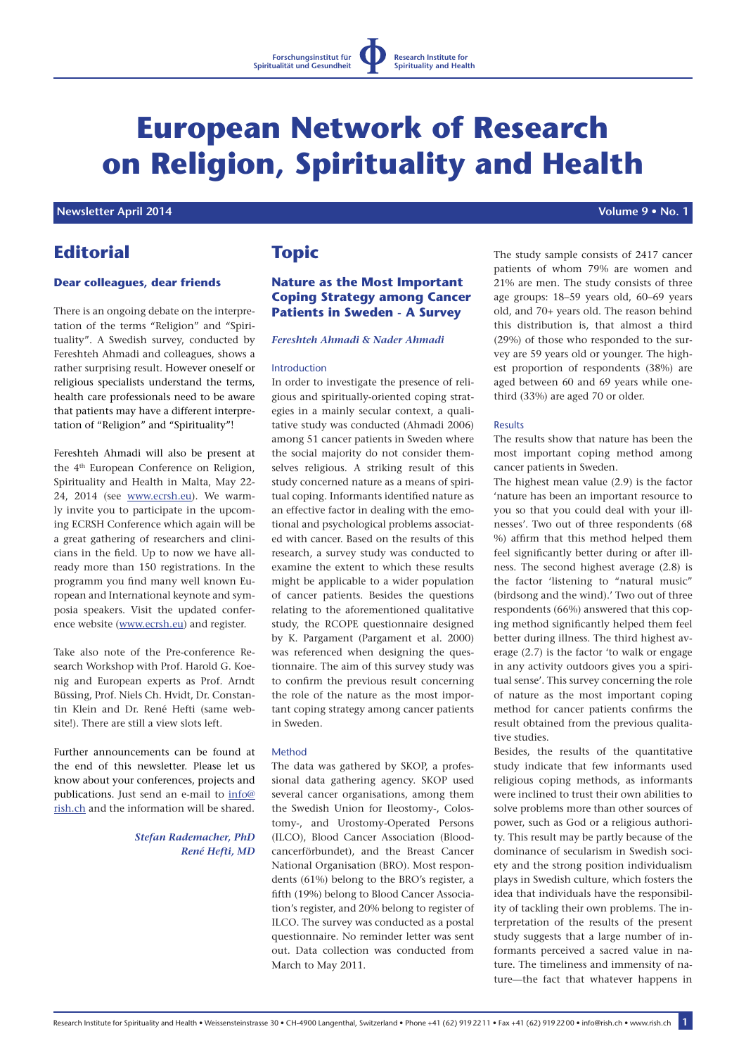

# **European Network of Research on Religion, Spirituality and Health**

### **Newsletter April 2014 1999 12:20 April 2014 1999 12:20 April 2016 12:20 April 2016 Volume 9 • No. 1**

# **Editorial**

#### **Dear colleagues, dear friends**

There is an ongoing debate on the interpretation of the terms "Religion" and "Spirituality". A Swedish survey, conducted by Fereshteh Ahmadi and colleagues, shows a rather surprising result. However oneself or religious specialists understand the terms, health care professionals need to be aware that patients may have a different interpretation of "Religion" and "Spirituality"!

Fereshteh Ahmadi will also be present at the 4th European Conference on Religion, Spirituality and Health in Malta, May 22- 24, 2014 (see www.ecrsh.eu). We warmly invite you to participate in the upcoming ECRSH Conference which again will be a great gathering of researchers and clinicians in the field. Up to now we have allready more than 150 registrations. In the programm you find many well known European and International keynote and symposia speakers. Visit the updated conference website (www.ecrsh.eu) and register.

Take also note of the Pre-conference Research Workshop with Prof. Harold G. Koenig and European experts as Prof. Arndt Büssing, Prof. Niels Ch. Hvidt, Dr. Constantin Klein and Dr. René Hefti (same website!). There are still a view slots left.

Further announcements can be found at the end of this newsletter. Please let us know about your conferences, projects and publications. Just send an e-mail to info@ rish.ch and the information will be shared.

> *Stefan Rademacher, PhD René Hefti, MD*

# **Topic**

## **Nature as the Most Important Coping Strategy among Cancer Patients in Sweden - A Survey**

#### *Fereshteh Ahmadi & Nader Ahmadi*

#### Introduction

In order to investigate the presence of religious and spiritually-oriented coping strategies in a mainly secular context, a qualitative study was conducted (Ahmadi 2006) among 51 cancer patients in Sweden where the social majority do not consider themselves religious. A striking result of this study concerned nature as a means of spiritual coping. Informants identified nature as an effective factor in dealing with the emotional and psychological problems associated with cancer. Based on the results of this research, a survey study was conducted to examine the extent to which these results might be applicable to a wider population of cancer patients. Besides the questions relating to the aforementioned qualitative study, the RCOPE questionnaire designed by K. Pargament (Pargament et al. 2000) was referenced when designing the questionnaire. The aim of this survey study was to confirm the previous result concerning the role of the nature as the most important coping strategy among cancer patients in Sweden.

#### Method

The data was gathered by SKOP, a professional data gathering agency. SKOP used several cancer organisations, among them the Swedish Union for Ileostomy-, Colostomy-, and Urostomy-Operated Persons (ILCO), Blood Cancer Association (Bloodcancerförbundet), and the Breast Cancer National Organisation (BRO). Most respondents (61%) belong to the BRO's register, a fifth (19%) belong to Blood Cancer Association's register, and 20% belong to register of ILCO. The survey was conducted as a postal questionnaire. No reminder letter was sent out. Data collection was conducted from March to May 2011.

The study sample consists of 2417 cancer patients of whom 79% are women and 21% are men. The study consists of three age groups: 18–59 years old, 60–69 years old, and 70+ years old. The reason behind this distribution is, that almost a third (29%) of those who responded to the survey are 59 years old or younger. The highest proportion of respondents (38%) are aged between 60 and 69 years while onethird (33%) are aged 70 or older.

#### Results

The results show that nature has been the most important coping method among cancer patients in Sweden.

The highest mean value (2.9) is the factor 'nature has been an important resource to you so that you could deal with your illnesses'. Two out of three respondents (68 %) affirm that this method helped them feel significantly better during or after illness. The second highest average (2.8) is the factor 'listening to "natural music" (birdsong and the wind).' Two out of three respondents (66%) answered that this coping method significantly helped them feel better during illness. The third highest average (2.7) is the factor 'to walk or engage in any activity outdoors gives you a spiritual sense'. This survey concerning the role of nature as the most important coping method for cancer patients confirms the result obtained from the previous qualitative studies.

Besides, the results of the quantitative study indicate that few informants used religious coping methods, as informants were inclined to trust their own abilities to solve problems more than other sources of power, such as God or a religious authority. This result may be partly because of the dominance of secularism in Swedish society and the strong position individualism plays in Swedish culture, which fosters the idea that individuals have the responsibility of tackling their own problems. The interpretation of the results of the present study suggests that a large number of informants perceived a sacred value in nature. The timeliness and immensity of nature—the fact that whatever happens in